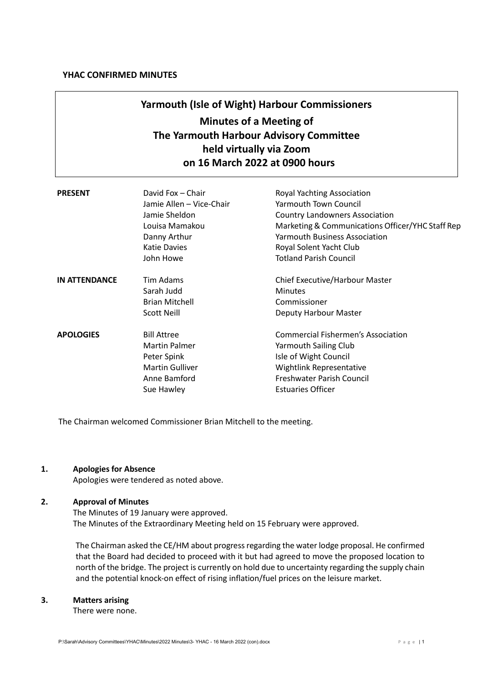# **Yarmouth (Isle of Wight) Harbour Commissioners Minutes of a Meeting of The Yarmouth Harbour Advisory Committee held virtually via Zoom on 16 March 2022 at 0900 hours**

| <b>PRESENT</b>       | David Fox - Chair<br>Jamie Allen – Vice-Chair<br>Jamie Sheldon<br>Louisa Mamakou<br>Danny Arthur<br><b>Katie Davies</b><br>John Howe | Royal Yachting Association<br><b>Yarmouth Town Council</b><br><b>Country Landowners Association</b><br>Marketing & Communications Officer/YHC Staff Rep<br><b>Yarmouth Business Association</b><br>Royal Solent Yacht Club<br><b>Totland Parish Council</b> |
|----------------------|--------------------------------------------------------------------------------------------------------------------------------------|-------------------------------------------------------------------------------------------------------------------------------------------------------------------------------------------------------------------------------------------------------------|
| <b>IN ATTENDANCE</b> | Tim Adams<br>Sarah Judd<br><b>Brian Mitchell</b><br><b>Scott Neill</b>                                                               | Chief Executive/Harbour Master<br><b>Minutes</b><br>Commissioner<br>Deputy Harbour Master                                                                                                                                                                   |
| <b>APOLOGIES</b>     | <b>Bill Attree</b><br><b>Martin Palmer</b><br>Peter Spink<br><b>Martin Gulliver</b><br>Anne Bamford<br>Sue Hawley                    | <b>Commercial Fishermen's Association</b><br>Yarmouth Sailing Club<br>Isle of Wight Council<br>Wightlink Representative<br>Freshwater Parish Council<br><b>Estuaries Officer</b>                                                                            |

The Chairman welcomed Commissioner Brian Mitchell to the meeting.

# **1. Apologies for Absence**

Apologies were tendered as noted above.

# **2. Approval of Minutes**

The Minutes of 19 January were approved. The Minutes of the Extraordinary Meeting held on 15 February were approved.

The Chairman asked the CE/HM about progress regarding the water lodge proposal. He confirmed that the Board had decided to proceed with it but had agreed to move the proposed location to north of the bridge. The project is currently on hold due to uncertainty regarding the supply chain and the potential knock-on effect of rising inflation/fuel prices on the leisure market.

## **3. Matters arising**

There were none.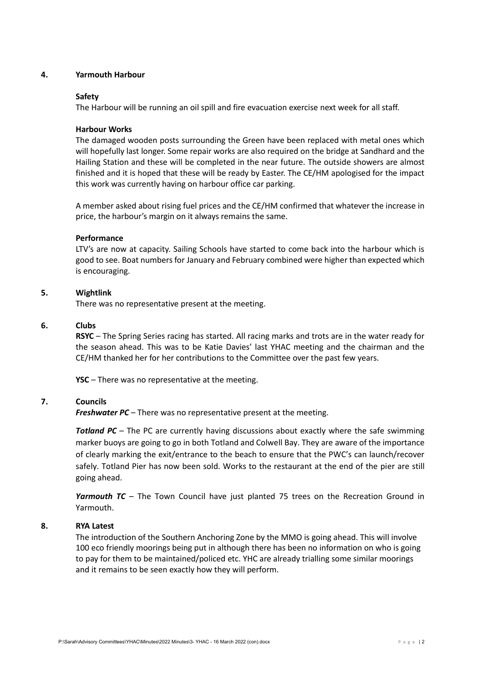## **4. Yarmouth Harbour**

### **Safety**

The Harbour will be running an oil spill and fire evacuation exercise next week for all staff.

### **Harbour Works**

The damaged wooden posts surrounding the Green have been replaced with metal ones which will hopefully last longer. Some repair works are also required on the bridge at Sandhard and the Hailing Station and these will be completed in the near future. The outside showers are almost finished and it is hoped that these will be ready by Easter. The CE/HM apologised for the impact this work was currently having on harbour office car parking.

A member asked about rising fuel prices and the CE/HM confirmed that whatever the increase in price, the harbour's margin on it always remains the same.

### **Performance**

LTV's are now at capacity. Sailing Schools have started to come back into the harbour which is good to see. Boat numbers for January and February combined were higher than expected which is encouraging.

### **5. Wightlink**

There was no representative present at the meeting.

#### **6. Clubs**

**RSYC** – The Spring Series racing has started. All racing marks and trots are in the water ready for the season ahead. This was to be Katie Davies' last YHAC meeting and the chairman and the CE/HM thanked her for her contributions to the Committee over the past few years.

**YSC** – There was no representative at the meeting.

#### **7. Councils**

*Freshwater PC* – There was no representative present at the meeting.

**Totland PC** – The PC are currently having discussions about exactly where the safe swimming marker buoys are going to go in both Totland and Colwell Bay. They are aware of the importance of clearly marking the exit/entrance to the beach to ensure that the PWC's can launch/recover safely. Totland Pier has now been sold. Works to the restaurant at the end of the pier are still going ahead.

*Yarmouth TC* – The Town Council have just planted 75 trees on the Recreation Ground in Yarmouth.

#### **8. RYA Latest**

The introduction of the Southern Anchoring Zone by the MMO is going ahead. This will involve 100 eco friendly moorings being put in although there has been no information on who is going to pay for them to be maintained/policed etc. YHC are already trialling some similar moorings and it remains to be seen exactly how they will perform.